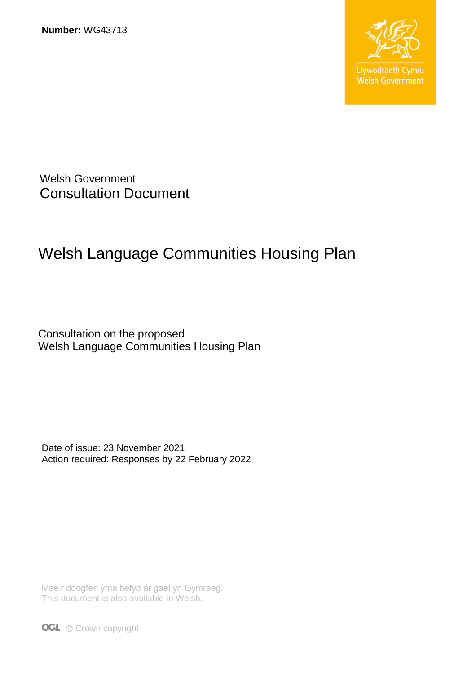**Number:** WG43713



Welsh Government Consultation Document

# Welsh Language Communities Housing Plan

Consultation on the proposed Welsh Language Communities Housing Plan

Date of issue: 23 November 2021 Action required: Responses by 22 February 2022

Mae'r ddogfen yma hefyd ar gael yn Gymraeg. This document is also available in Welsh.

**OGL** © Crown copyright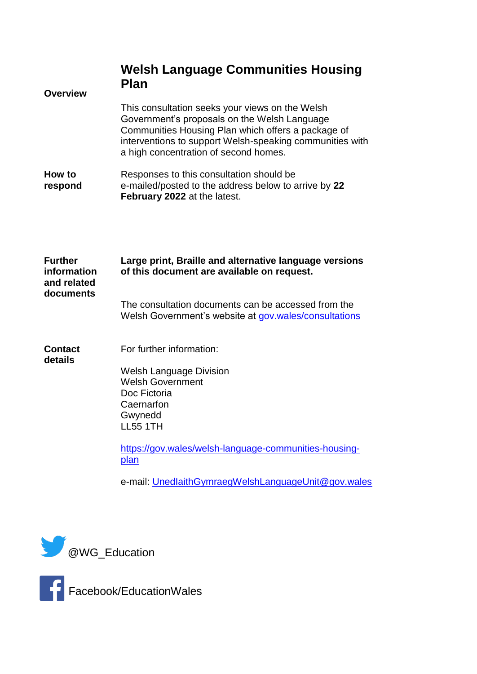| <b>Overview</b>                                           | <b>Welsh Language Communities Housing</b><br><b>Plan</b>                                                                                                                                                                                                   |
|-----------------------------------------------------------|------------------------------------------------------------------------------------------------------------------------------------------------------------------------------------------------------------------------------------------------------------|
|                                                           | This consultation seeks your views on the Welsh<br>Government's proposals on the Welsh Language<br>Communities Housing Plan which offers a package of<br>interventions to support Welsh-speaking communities with<br>a high concentration of second homes. |
| How to<br>respond                                         | Responses to this consultation should be<br>e-mailed/posted to the address below to arrive by 22<br>February 2022 at the latest.                                                                                                                           |
| <b>Further</b><br>information<br>and related<br>documents | Large print, Braille and alternative language versions<br>of this document are available on request.                                                                                                                                                       |
|                                                           | The consultation documents can be accessed from the<br>Welsh Government's website at gov.wales/consultations                                                                                                                                               |
| <b>Contact</b><br>details                                 | For further information:                                                                                                                                                                                                                                   |
|                                                           | <b>Welsh Language Division</b><br><b>Welsh Government</b><br>Doc Fictoria<br>Caernarfon<br>Gwynedd<br><b>LL55 1TH</b>                                                                                                                                      |
|                                                           | https://gov.wales/welsh-language-communities-housing-<br>plan                                                                                                                                                                                              |
|                                                           | e-mail: UnedlaithGymraegWelshLanguageUnit@gov.wales                                                                                                                                                                                                        |
|                                                           |                                                                                                                                                                                                                                                            |





Facebook/EducationWales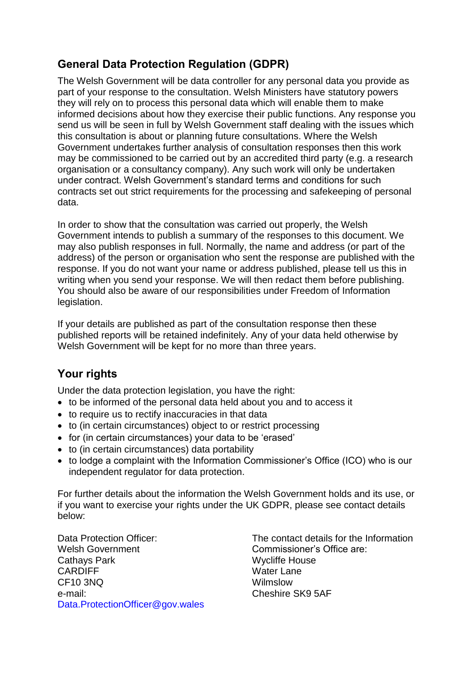# **General Data Protection Regulation (GDPR)**

The Welsh Government will be data controller for any personal data you provide as part of your response to the consultation. Welsh Ministers have statutory powers they will rely on to process this personal data which will enable them to make informed decisions about how they exercise their public functions. Any response you send us will be seen in full by Welsh Government staff dealing with the issues which this consultation is about or planning future consultations. Where the Welsh Government undertakes further analysis of consultation responses then this work may be commissioned to be carried out by an accredited third party (e.g. a research organisation or a consultancy company). Any such work will only be undertaken under contract. Welsh Government's standard terms and conditions for such contracts set out strict requirements for the processing and safekeeping of personal data.

In order to show that the consultation was carried out properly, the Welsh Government intends to publish a summary of the responses to this document. We may also publish responses in full. Normally, the name and address (or part of the address) of the person or organisation who sent the response are published with the response. If you do not want your name or address published, please tell us this in writing when you send your response. We will then redact them before publishing. You should also be aware of our responsibilities under Freedom of Information legislation.

If your details are published as part of the consultation response then these published reports will be retained indefinitely. Any of your data held otherwise by Welsh Government will be kept for no more than three years.

# **Your rights**

Under the data protection legislation, you have the right:

- to be informed of the personal data held about you and to access it
- to require us to rectify inaccuracies in that data
- to (in certain circumstances) object to or restrict processing
- for (in certain circumstances) your data to be 'erased'
- to (in certain circumstances) data portability
- to lodge a complaint with the Information Commissioner's Office (ICO) who is our independent regulator for data protection.

For further details about the information the Welsh Government holds and its use, or if you want to exercise your rights under the UK GDPR, please see contact details below:

Data Protection Officer: Welsh Government Cathays Park **CARDIFF** CF10 3NQ e-mail: [Data.ProtectionOfficer@gov.wales](mailto:Data.ProtectionOfficer@gov.wales)

The contact details for the Information Commissioner's Office are: Wycliffe House Water Lane Wilmslow Cheshire SK9 5AF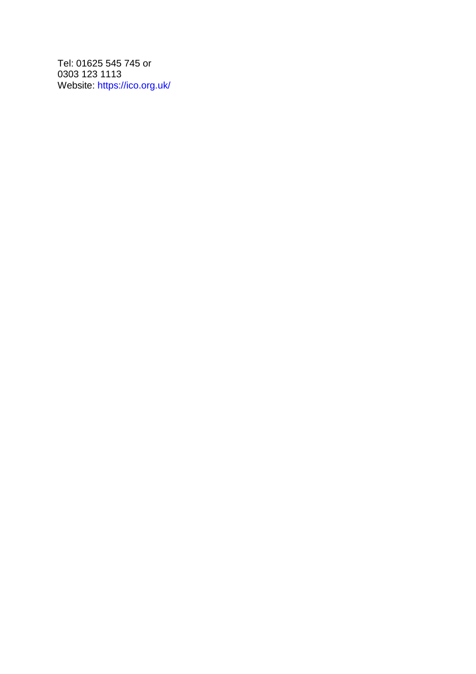Tel: 01625 545 745 or 0303 123 1113 Website:<https://ico.org.uk/>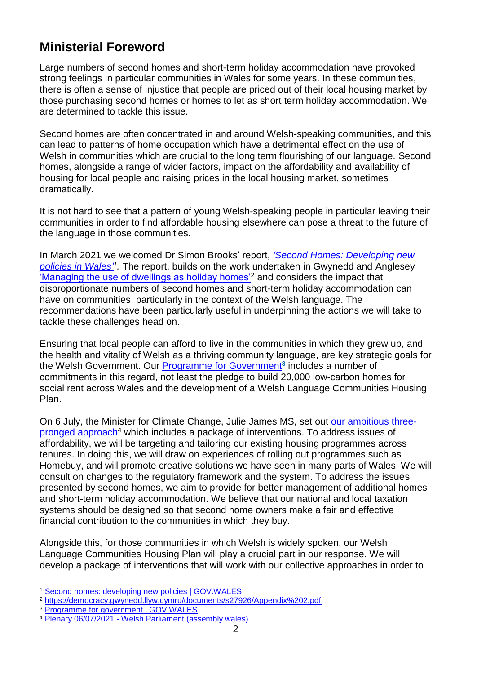# **Ministerial Foreword**

Large numbers of second homes and short-term holiday accommodation have provoked strong feelings in particular communities in Wales for some years. In these communities, there is often a sense of injustice that people are priced out of their local housing market by those purchasing second homes or homes to let as short term holiday accommodation. We are determined to tackle this issue.

Second homes are often concentrated in and around Welsh-speaking communities, and this can lead to patterns of home occupation which have a detrimental effect on the use of Welsh in communities which are crucial to the long term flourishing of our language. Second homes, alongside a range of wider factors, impact on the affordability and availability of housing for local people and raising prices in the local housing market, sometimes dramatically.

It is not hard to see that a pattern of young Welsh-speaking people in particular leaving their communities in order to find affordable housing elsewhere can pose a threat to the future of the language in those communities.

In March 2021 we welcomed Dr Simon Brooks' report, *['Second Homes: Developing new](https://gov.wales/second-homes-developing-new-policies)*  policies in Wales<sup>'1</sup>. The report, builds on the work undertaken in Gwynedd and Anglesey ['Managing the use of dwellings as holiday homes'](https://democracy.gwynedd.llyw.cymru/documents/s27926/Appendix%202.pdf)<sup>2</sup> and considers the impact that disproportionate numbers of second homes and short-term holiday accommodation can have on communities, particularly in the context of the Welsh language. The recommendations have been particularly useful in underpinning the actions we will take to tackle these challenges head on.

Ensuring that local people can afford to live in the communities in which they grew up, and the health and vitality of Welsh as a thriving community language, are key strategic goals for the Welsh Government. Our **Programme for Government<sup>3</sup> includes a number of** commitments in this regard, not least the pledge to build 20,000 low-carbon homes for social rent across Wales and the development of a Welsh Language Communities Housing Plan.

On 6 July, the Minister for Climate Change, Julie James MS, set out our [ambitious three](https://record.assembly.wales/Plenary/12321#A66334)[pronged approach](https://record.assembly.wales/Plenary/12321#A66334)<sup>4</sup> which includes a package of interventions. To address issues of affordability, we will be targeting and tailoring our existing housing programmes across tenures. In doing this, we will draw on experiences of rolling out programmes such as Homebuy, and will promote creative solutions we have seen in many parts of Wales. We will consult on changes to the regulatory framework and the system. To address the issues presented by second homes, we aim to provide for better management of additional homes and short-term holiday accommodation. We believe that our national and local taxation systems should be designed so that second home owners make a fair and effective financial contribution to the communities in which they buy.

Alongside this, for those communities in which Welsh is widely spoken, our Welsh Language Communities Housing Plan will play a crucial part in our response. We will develop a package of interventions that will work with our collective approaches in order to

1

<sup>1</sup> [Second homes: developing new policies | GOV.WALES](https://gov.wales/second-homes-developing-new-policies)

<sup>2</sup> <https://democracy.gwynedd.llyw.cymru/documents/s27926/Appendix%202.pdf>

<sup>&</sup>lt;sup>3</sup> [Programme for government | GOV.WALES](https://gov.wales/programme-government)

<sup>4</sup> Plenary 06/07/2021 - [Welsh Parliament \(assembly.wales\)](https://record.assembly.wales/Plenary/12321#A66334)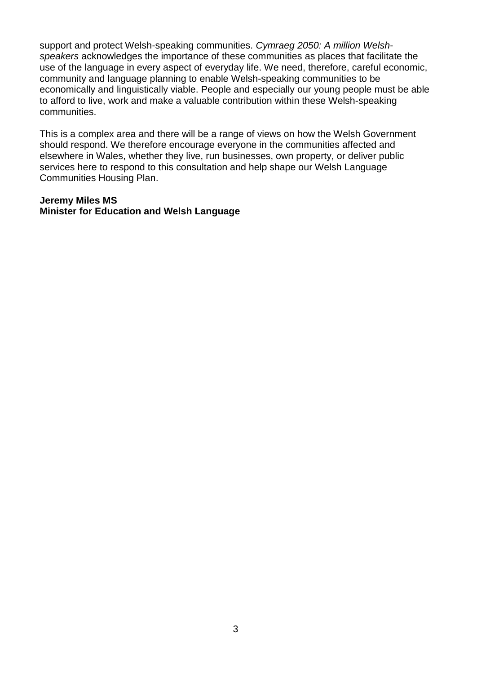support and protect Welsh-speaking communities. *Cymraeg 2050: A million Welshspeakers* acknowledges the importance of these communities as places that facilitate the use of the language in every aspect of everyday life. We need, therefore, careful economic, community and language planning to enable Welsh-speaking communities to be economically and linguistically viable. People and especially our young people must be able to afford to live, work and make a valuable contribution within these Welsh-speaking communities.

This is a complex area and there will be a range of views on how the Welsh Government should respond. We therefore encourage everyone in the communities affected and elsewhere in Wales, whether they live, run businesses, own property, or deliver public services here to respond to this consultation and help shape our Welsh Language Communities Housing Plan.

## **Jeremy Miles MS Minister for Education and Welsh Language**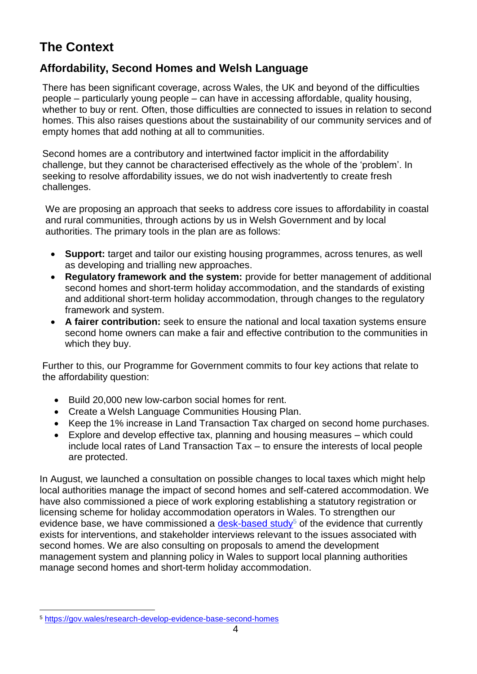# **The Context**

# **Affordability, Second Homes and Welsh Language**

There has been significant coverage, across Wales, the UK and beyond of the difficulties people – particularly young people – can have in accessing affordable, quality housing, whether to buy or rent. Often, those difficulties are connected to issues in relation to second homes. This also raises questions about the sustainability of our community services and of empty homes that add nothing at all to communities.

Second homes are a contributory and intertwined factor implicit in the affordability challenge, but they cannot be characterised effectively as the whole of the 'problem'. In seeking to resolve affordability issues, we do not wish inadvertently to create fresh challenges.

We are proposing an approach that seeks to address core issues to affordability in coastal and rural communities, through actions by us in Welsh Government and by local authorities. The primary tools in the plan are as follows:

- **Support:** target and tailor our existing housing programmes, across tenures, as well as developing and trialling new approaches.
- **Regulatory framework and the system:** provide for better management of additional second homes and short-term holiday accommodation, and the standards of existing and additional short-term holiday accommodation, through changes to the regulatory framework and system.
- **A fairer contribution:** seek to ensure the national and local taxation systems ensure second home owners can make a fair and effective contribution to the communities in which they buy.

Further to this, our Programme for Government commits to four key actions that relate to the affordability question:

- Build 20,000 new low-carbon social homes for rent.
- Create a Welsh Language Communities Housing Plan.
- Keep the 1% increase in Land Transaction Tax charged on second home purchases.
- Explore and develop effective tax, planning and housing measures which could include local rates of Land Transaction Tax – to ensure the interests of local people are protected.

In August, we launched a consultation on possible changes to local taxes which might help local authorities manage the impact of second homes and self-catered accommodation. We have also commissioned a piece of work exploring establishing a statutory registration or licensing scheme for holiday accommodation operators in Wales. To strengthen our evidence base, we have commissioned a [desk-based study](https://gov.wales/research-develop-evidence-base-second-homes)<sup>5</sup> of the evidence that currently exists for interventions, and stakeholder interviews relevant to the issues associated with second homes. We are also consulting on proposals to amend the development management system and planning policy in Wales to support local planning authorities manage second homes and short-term holiday accommodation.

<sup>1</sup> <sup>5</sup> [https://gov.wales/research-develop-evidence-base-second-homes](https://eur01.safelinks.protection.outlook.com/?url=https%3A%2F%2Fgov.wales%2Fresearch-develop-evidence-base-second-homes&data=04%7C01%7CIddon.Edwards2%40gov.wales%7C4983ce1956214ed5fa7408d99ee9a71c%7Ca2cc36c592804ae78887d06dab89216b%7C0%7C0%7C637715548622864737%7CUnknown%7CTWFpbGZsb3d8eyJWIjoiMC4wLjAwMDAiLCJQIjoiV2luMzIiLCJBTiI6Ik1haWwiLCJXVCI6Mn0%3D%7C1000&sdata=HsJYmnUasOaNURyOZloeUTiEY%2B3ReEvvsLjaT%2B0u8C0%3D&reserved=0)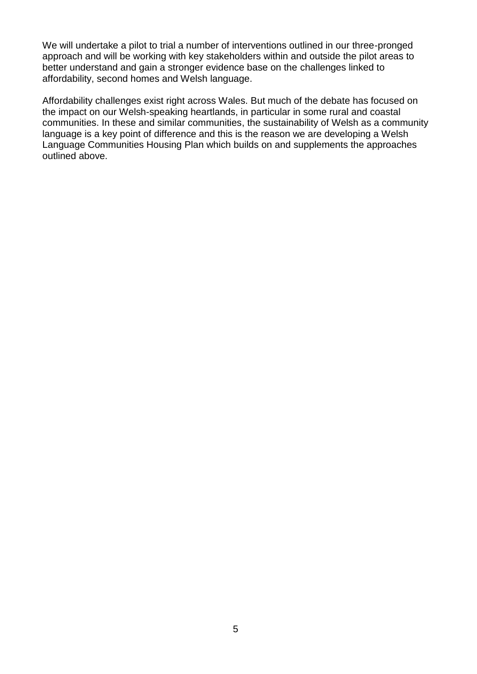We will undertake a pilot to trial a number of interventions outlined in our three-pronged approach and will be working with key stakeholders within and outside the pilot areas to better understand and gain a stronger evidence base on the challenges linked to affordability, second homes and Welsh language.

Affordability challenges exist right across Wales. But much of the debate has focused on the impact on our Welsh-speaking heartlands, in particular in some rural and coastal communities. In these and similar communities, the sustainability of Welsh as a community language is a key point of difference and this is the reason we are developing a Welsh Language Communities Housing Plan which builds on and supplements the approaches outlined above.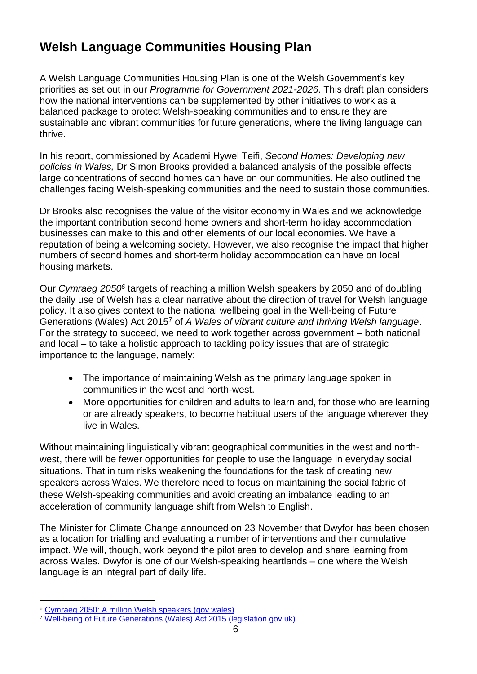# **Welsh Language Communities Housing Plan**

A Welsh Language Communities Housing Plan is one of the Welsh Government's key priorities as set out in our *Programme for Government 2021-2026*. This draft plan considers how the national interventions can be supplemented by other initiatives to work as a balanced package to protect Welsh-speaking communities and to ensure they are sustainable and vibrant communities for future generations, where the living language can thrive.

In his report, commissioned by Academi Hywel Teifi, *Second Homes: Developing new policies in Wales,* Dr Simon Brooks provided a balanced analysis of the possible effects large concentrations of second homes can have on our communities. He also outlined the challenges facing Welsh-speaking communities and the need to sustain those communities.

Dr Brooks also recognises the value of the visitor economy in Wales and we acknowledge the important contribution second home owners and short-term holiday accommodation businesses can make to this and other elements of our local economies. We have a reputation of being a welcoming society. However, we also recognise the impact that higher numbers of second homes and short-term holiday accommodation can have on local housing markets.

Our *Cymraeg 2050<sup>6</sup>* targets of reaching a million Welsh speakers by 2050 and of doubling the daily use of Welsh has a clear narrative about the direction of travel for Welsh language policy. It also gives context to the national wellbeing goal in the Well-being of Future Generations (Wales) Act 2015<sup>7</sup> of *A Wales of vibrant culture and thriving Welsh language*. For the strategy to succeed, we need to work together across government – both national and local – to take a holistic approach to tackling policy issues that are of strategic importance to the language, namely:

- The importance of maintaining Welsh as the primary language spoken in communities in the west and north-west.
- More opportunities for children and adults to learn and, for those who are learning or are already speakers, to become habitual users of the language wherever they live in Wales.

Without maintaining linguistically vibrant geographical communities in the west and northwest, there will be fewer opportunities for people to use the language in everyday social situations. That in turn risks weakening the foundations for the task of creating new speakers across Wales. We therefore need to focus on maintaining the social fabric of these Welsh-speaking communities and avoid creating an imbalance leading to an acceleration of community language shift from Welsh to English.

The Minister for Climate Change announced on 23 November that Dwyfor has been chosen as a location for trialling and evaluating a number of interventions and their cumulative impact. We will, though, work beyond the pilot area to develop and share learning from across Wales. Dwyfor is one of our Welsh-speaking heartlands – one where the Welsh language is an integral part of daily life.

1

<sup>6</sup> [Cymraeg 2050: A million Welsh speakers \(gov.wales\)](https://gov.wales/sites/default/files/publications/2018-12/cymraeg-2050-welsh-language-strategy.pdf)

<sup>7</sup> [Well-being of Future Generations \(Wales\) Act 2015 \(legislation.gov.uk\)](https://www.legislation.gov.uk/anaw/2015/2/section/4)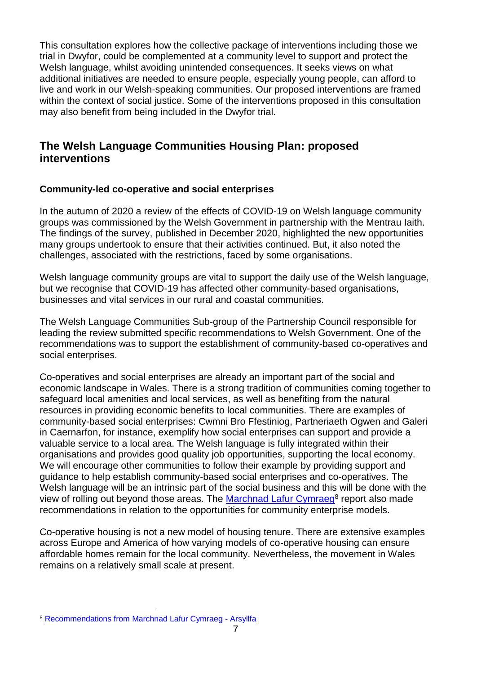This consultation explores how the collective package of interventions including those we trial in Dwyfor, could be complemented at a community level to support and protect the Welsh language, whilst avoiding unintended consequences. It seeks views on what additional initiatives are needed to ensure people, especially young people, can afford to live and work in our Welsh-speaking communities. Our proposed interventions are framed within the context of social justice. Some of the interventions proposed in this consultation may also benefit from being included in the Dwyfor trial.

# **The Welsh Language Communities Housing Plan: proposed interventions**

## **Community-led co-operative and social enterprises**

In the autumn of 2020 a review of the effects of COVID-19 on Welsh language community groups was commissioned by the Welsh Government in partnership with the Mentrau Iaith. The findings of the survey, published in December 2020, highlighted the new opportunities many groups undertook to ensure that their activities continued. But, it also noted the challenges, associated with the restrictions, faced by some organisations.

Welsh language community groups are vital to support the daily use of the Welsh language, but we recognise that COVID-19 has affected other community-based organisations, businesses and vital services in our rural and coastal communities.

The Welsh Language Communities Sub-group of the Partnership Council responsible for leading the review submitted specific recommendations to Welsh Government. One of the recommendations was to support the establishment of community-based co-operatives and social enterprises.

Co-operatives and social enterprises are already an important part of the social and economic landscape in Wales. There is a strong tradition of communities coming together to safeguard local amenities and local services, as well as benefiting from the natural resources in providing economic benefits to local communities. There are examples of community-based social enterprises: Cwmni Bro Ffestiniog, Partneriaeth Ogwen and Galeri in Caernarfon, for instance, exemplify how social enterprises can support and provide a valuable service to a local area. The Welsh language is fully integrated within their organisations and provides good quality job opportunities, supporting the local economy. We will encourage other communities to follow their example by providing support and guidance to help establish community-based social enterprises and co-operatives. The Welsh language will be an intrinsic part of the social business and this will be done with the view of rolling out beyond those areas. The [Marchnad Lafur Cymraeg](https://www.arsyllfa.cymru/summary-report-highlighting-relevant-outputs-and-key-recommendations-from-the-marchnad-lafur-cymraeg-project/)<sup>8</sup> report also made recommendations in relation to the opportunities for community enterprise models.

Co-operative housing is not a new model of housing tenure. There are extensive examples across Europe and America of how varying models of co-operative housing can ensure affordable homes remain for the local community. Nevertheless, the movement in Wales remains on a relatively small scale at present.

<sup>1</sup> <sup>8</sup> [Recommendations from Marchnad Lafur Cymraeg -](https://www.arsyllfa.cymru/summary-report-highlighting-relevant-outputs-and-key-recommendations-from-the-marchnad-lafur-cymraeg-project/) Arsyllfa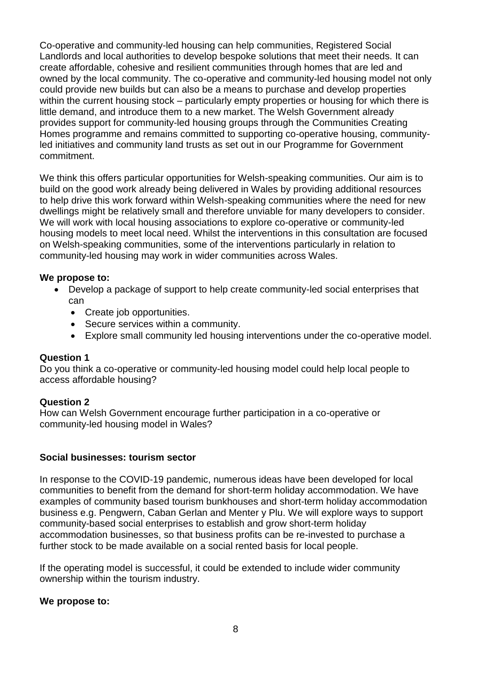Co-operative and community-led housing can help communities, Registered Social Landlords and local authorities to develop bespoke solutions that meet their needs. It can create affordable, cohesive and resilient communities through homes that are led and owned by the local community. The co-operative and community-led housing model not only could provide new builds but can also be a means to purchase and develop properties within the current housing stock – particularly empty properties or housing for which there is little demand, and introduce them to a new market. The Welsh Government already provides support for community-led housing groups through the Communities Creating Homes programme and remains committed to supporting co-operative housing, communityled initiatives and community land trusts as set out in our Programme for Government commitment.

We think this offers particular opportunities for Welsh-speaking communities. Our aim is to build on the good work already being delivered in Wales by providing additional resources to help drive this work forward within Welsh-speaking communities where the need for new dwellings might be relatively small and therefore unviable for many developers to consider. We will work with local housing associations to explore co-operative or community-led housing models to meet local need. Whilst the interventions in this consultation are focused on Welsh-speaking communities, some of the interventions particularly in relation to community-led housing may work in wider communities across Wales.

#### **We propose to:**

- Develop a package of support to help create community-led social enterprises that can
	- Create job opportunities.
	- Secure services within a community.
	- Explore small community led housing interventions under the co-operative model.

#### **Question 1**

Do you think a co-operative or community-led housing model could help local people to access affordable housing?

#### **Question 2**

How can Welsh Government encourage further participation in a co-operative or community-led housing model in Wales?

#### **Social businesses: tourism sector**

In response to the COVID-19 pandemic, numerous ideas have been developed for local communities to benefit from the demand for short-term holiday accommodation. We have examples of community based tourism bunkhouses and short-term holiday accommodation business e.g. Pengwern, Caban Gerlan and Menter y Plu. We will explore ways to support community-based social enterprises to establish and grow short-term holiday accommodation businesses, so that business profits can be re-invested to purchase a further stock to be made available on a social rented basis for local people.

If the operating model is successful, it could be extended to include wider community ownership within the tourism industry.

#### **We propose to:**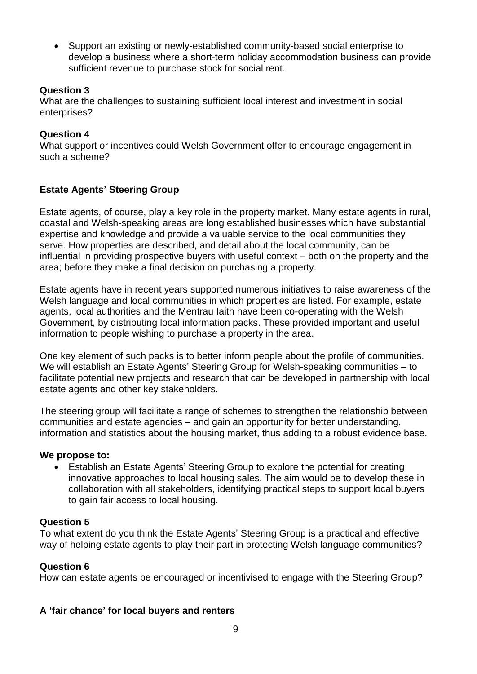Support an existing or newly-established community-based social enterprise to develop a business where a short-term holiday accommodation business can provide sufficient revenue to purchase stock for social rent.

## **Question 3**

What are the challenges to sustaining sufficient local interest and investment in social enterprises?

## **Question 4**

What support or incentives could Welsh Government offer to encourage engagement in such a scheme?

# **Estate Agents' Steering Group**

Estate agents, of course, play a key role in the property market. Many estate agents in rural, coastal and Welsh-speaking areas are long established businesses which have substantial expertise and knowledge and provide a valuable service to the local communities they serve. How properties are described, and detail about the local community, can be influential in providing prospective buyers with useful context – both on the property and the area; before they make a final decision on purchasing a property.

Estate agents have in recent years supported numerous initiatives to raise awareness of the Welsh language and local communities in which properties are listed. For example, estate agents, local authorities and the Mentrau Iaith have been co-operating with the Welsh Government, by distributing local information packs. These provided important and useful information to people wishing to purchase a property in the area.

One key element of such packs is to better inform people about the profile of communities. We will establish an Estate Agents' Steering Group for Welsh-speaking communities – to facilitate potential new projects and research that can be developed in partnership with local estate agents and other key stakeholders.

The steering group will facilitate a range of schemes to strengthen the relationship between communities and estate agencies – and gain an opportunity for better understanding, information and statistics about the housing market, thus adding to a robust evidence base.

#### **We propose to:**

 Establish an Estate Agents' Steering Group to explore the potential for creating innovative approaches to local housing sales. The aim would be to develop these in collaboration with all stakeholders, identifying practical steps to support local buyers to gain fair access to local housing.

#### **Question 5**

To what extent do you think the Estate Agents' Steering Group is a practical and effective way of helping estate agents to play their part in protecting Welsh language communities?

#### **Question 6**

How can estate agents be encouraged or incentivised to engage with the Steering Group?

#### **A 'fair chance' for local buyers and renters**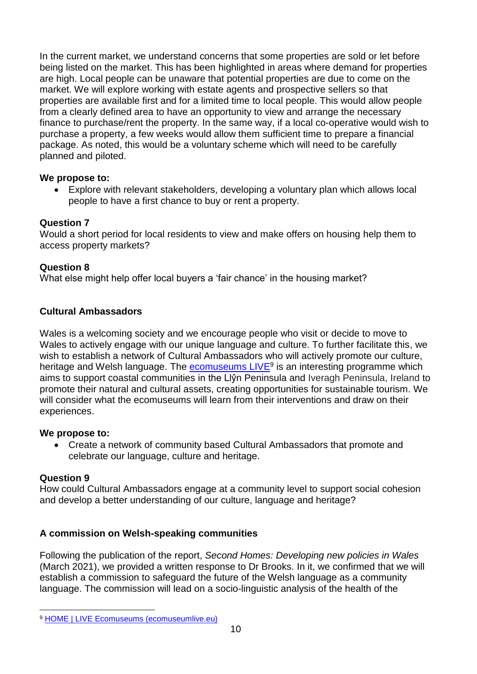In the current market, we understand concerns that some properties are sold or let before being listed on the market. This has been highlighted in areas where demand for properties are high. Local people can be unaware that potential properties are due to come on the market. We will explore working with estate agents and prospective sellers so that properties are available first and for a limited time to local people. This would allow people from a clearly defined area to have an opportunity to view and arrange the necessary finance to purchase/rent the property. In the same way, if a local co-operative would wish to purchase a property, a few weeks would allow them sufficient time to prepare a financial package. As noted, this would be a voluntary scheme which will need to be carefully planned and piloted.

# **We propose to:**

 Explore with relevant stakeholders, developing a voluntary plan which allows local people to have a first chance to buy or rent a property.

# **Question 7**

Would a short period for local residents to view and make offers on housing help them to access property markets?

# **Question 8**

What else might help offer local buyers a 'fair chance' in the housing market?

# **Cultural Ambassadors**

Wales is a welcoming society and we encourage people who visit or decide to move to Wales to actively engage with our unique language and culture. To further facilitate this, we wish to establish a network of Cultural Ambassadors who will actively promote our culture, heritage and Welsh language. The **ecomuseums LIVE<sup>9</sup> is an interesting programme which** aims to support coastal communities in the Llŷn Peninsula and Iveragh Peninsula, Ireland to promote their natural and cultural assets, creating opportunities for sustainable tourism. We will consider what the ecomuseums will learn from their interventions and draw on their experiences.

# **We propose to:**

 Create a network of community based Cultural Ambassadors that promote and celebrate our language, culture and heritage.

# **Question 9**

How could Cultural Ambassadors engage at a community level to support social cohesion and develop a better understanding of our culture, language and heritage?

# **A commission on Welsh-speaking communities**

Following the publication of the report, *Second Homes: Developing new policies in Wales* (March 2021), we provided a written response to Dr Brooks. In it, we confirmed that we will establish a commission to safeguard the future of the Welsh language as a community language. The commission will lead on a socio-linguistic analysis of the health of the

<sup>1</sup> <sup>9</sup> [HOME | LIVE Ecomuseums \(ecomuseumlive.eu\)](https://www.ecomuseumlive.eu/)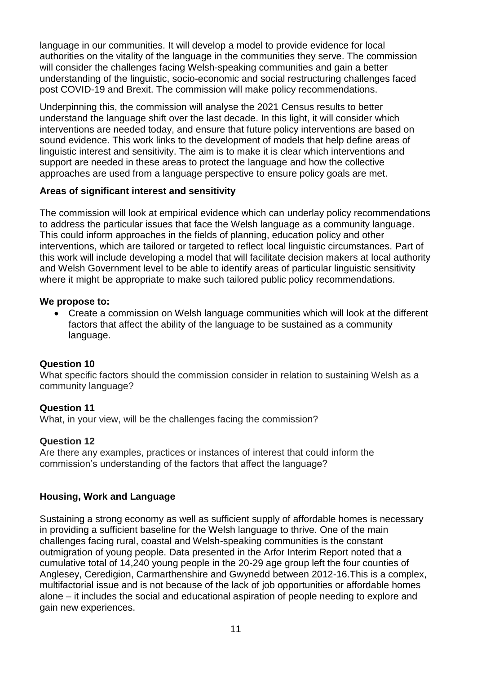language in our communities. It will develop a model to provide evidence for local authorities on the vitality of the language in the communities they serve. The commission will consider the challenges facing Welsh-speaking communities and gain a better understanding of the linguistic, socio-economic and social restructuring challenges faced post COVID-19 and Brexit. The commission will make policy recommendations.

Underpinning this, the commission will analyse the 2021 Census results to better understand the language shift over the last decade. In this light, it will consider which interventions are needed today, and ensure that future policy interventions are based on sound evidence. This work links to the development of models that help define areas of linguistic interest and sensitivity. The aim is to make it is clear which interventions and support are needed in these areas to protect the language and how the collective approaches are used from a language perspective to ensure policy goals are met.

## **Areas of significant interest and sensitivity**

The commission will look at empirical evidence which can underlay policy recommendations to address the particular issues that face the Welsh language as a community language. This could inform approaches in the fields of planning, education policy and other interventions, which are tailored or targeted to reflect local linguistic circumstances. Part of this work will include developing a model that will facilitate decision makers at local authority and Welsh Government level to be able to identify areas of particular linguistic sensitivity where it might be appropriate to make such tailored public policy recommendations.

#### **We propose to:**

 Create a commission on Welsh language communities which will look at the different factors that affect the ability of the language to be sustained as a community language.

# **Question 10**

What specific factors should the commission consider in relation to sustaining Welsh as a community language?

# **Question 11**

What, in your view, will be the challenges facing the commission?

# **Question 12**

Are there any examples, practices or instances of interest that could inform the commission's understanding of the factors that affect the language?

# **Housing, Work and Language**

Sustaining a strong economy as well as sufficient supply of affordable homes is necessary in providing a sufficient baseline for the Welsh language to thrive. One of the main challenges facing rural, coastal and Welsh-speaking communities is the constant outmigration of young people. Data presented in the Arfor Interim Report noted that a cumulative total of 14,240 young people in the 20-29 age group left the four counties of Anglesey, Ceredigion, Carmarthenshire and Gwynedd between 2012-16.This is a complex, multifactorial issue and is not because of the lack of job opportunities or affordable homes alone – it includes the social and educational aspiration of people needing to explore and gain new experiences.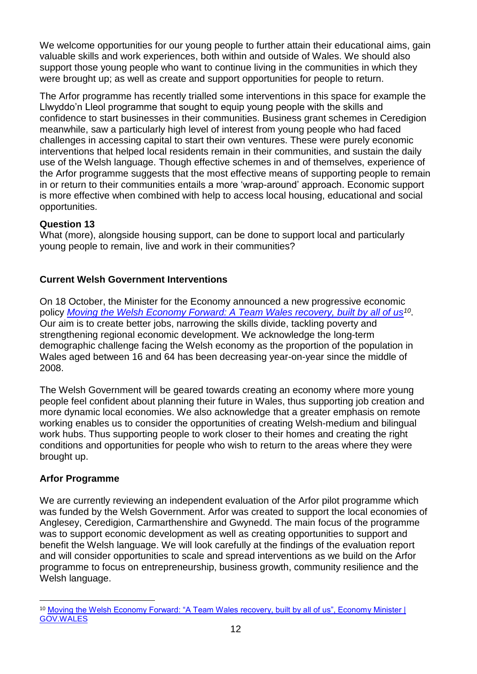We welcome opportunities for our young people to further attain their educational aims, gain valuable skills and work experiences, both within and outside of Wales. We should also support those young people who want to continue living in the communities in which they were brought up; as well as create and support opportunities for people to return.

The Arfor programme has recently trialled some interventions in this space for example the Llwyddo'n Lleol programme that sought to equip young people with the skills and confidence to start businesses in their communities. Business grant schemes in Ceredigion meanwhile, saw a particularly high level of interest from young people who had faced challenges in accessing capital to start their own ventures. These were purely economic interventions that helped local residents remain in their communities, and sustain the daily use of the Welsh language. Though effective schemes in and of themselves, experience of the Arfor programme suggests that the most effective means of supporting people to remain in or return to their communities entails a more 'wrap-around' approach. Economic support is more effective when combined with help to access local housing, educational and social opportunities.

# **Question 13**

What (more), alongside housing support, can be done to support local and particularly young people to remain, live and work in their communities?

# **Current Welsh Government Interventions**

On 18 October, the Minister for the Economy announced a new progressive economic policy *[Moving the Welsh Economy Forward: A Team Wales recovery, built by all of us](file:///D:/Users/edwardsi2/Objective/Objects/Moving%20the%20Welsh%20Economy%20Forward:)<sup>10</sup>* . Our aim is to create better jobs, narrowing the skills divide, tackling poverty and strengthening regional economic development. We acknowledge the long-term demographic challenge facing the Welsh economy as the proportion of the population in Wales aged between 16 and 64 has been decreasing year-on-year since the middle of 2008.

The Welsh Government will be geared towards creating an economy where more young people feel confident about planning their future in Wales, thus supporting job creation and more dynamic local economies. We also acknowledge that a greater emphasis on remote working enables us to consider the opportunities of creating Welsh-medium and bilingual work hubs. Thus supporting people to work closer to their homes and creating the right conditions and opportunities for people who wish to return to the areas where they were brought up.

# **Arfor Programme**

We are currently reviewing an independent evaluation of the Arfor pilot programme which was funded by the Welsh Government. Arfor was created to support the local economies of Anglesey, Ceredigion, Carmarthenshire and Gwynedd. The main focus of the programme was to support economic development as well as creating opportunities to support and benefit the Welsh language. We will look carefully at the findings of the evaluation report and will consider opportunities to scale and spread interventions as we build on the Arfor programme to focus on entrepreneurship, business growth, community resilience and the Welsh language.

<sup>1</sup> 10 Moving the Welsh Economy Forward: "A Team Wales recovery, built by all of us", Economy Minister | [GOV.WALES](https://gov.wales/moving-welsh-economy-forward-team-wales-recovery-built-all-us-economy-minister)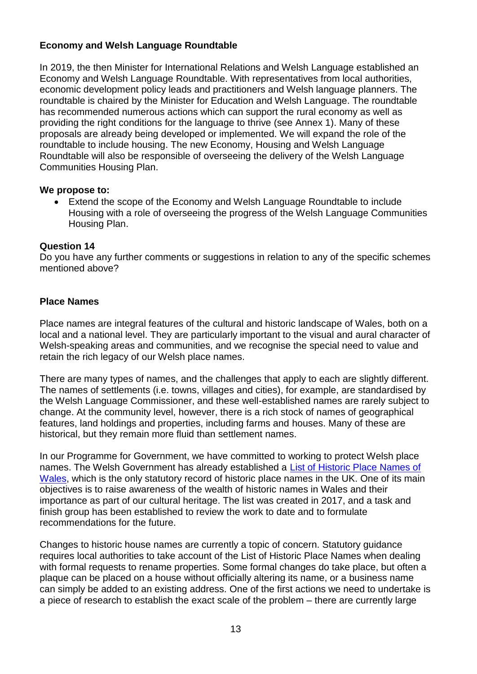# **Economy and Welsh Language Roundtable**

In 2019, the then Minister for International Relations and Welsh Language established an Economy and Welsh Language Roundtable. With representatives from local authorities, economic development policy leads and practitioners and Welsh language planners. The roundtable is chaired by the Minister for Education and Welsh Language. The roundtable has recommended numerous actions which can support the rural economy as well as providing the right conditions for the language to thrive (see Annex 1). Many of these proposals are already being developed or implemented. We will expand the role of the roundtable to include housing. The new Economy, Housing and Welsh Language Roundtable will also be responsible of overseeing the delivery of the Welsh Language Communities Housing Plan.

## **We propose to:**

 Extend the scope of the Economy and Welsh Language Roundtable to include Housing with a role of overseeing the progress of the Welsh Language Communities Housing Plan.

## **Question 14**

Do you have any further comments or suggestions in relation to any of the specific schemes mentioned above?

# **Place Names**

Place names are integral features of the cultural and historic landscape of Wales, both on a local and a national level. They are particularly important to the visual and aural character of Welsh-speaking areas and communities, and we recognise the special need to value and retain the rich legacy of our Welsh place names.

There are many types of names, and the challenges that apply to each are slightly different. The names of settlements (i.e. towns, villages and cities), for example, are standardised by the Welsh Language Commissioner, and these well-established names are rarely subject to change. At the community level, however, there is a rich stock of names of geographical features, land holdings and properties, including farms and houses. Many of these are historical, but they remain more fluid than settlement names.

In our Programme for Government, we have committed to working to protect Welsh place names. The Welsh Government has already established a [List of Historic Place Names of](https://historicplacenames.rcahmw.gov.uk/)  [Wales,](https://historicplacenames.rcahmw.gov.uk/) which is the only statutory record of historic place names in the UK. One of its main objectives is to raise awareness of the wealth of historic names in Wales and their importance as part of our cultural heritage. The list was created in 2017, and a task and finish group has been established to review the work to date and to formulate recommendations for the future.

Changes to historic house names are currently a topic of concern. Statutory guidance requires local authorities to take account of the List of Historic Place Names when dealing with formal requests to rename properties. Some formal changes do take place, but often a plaque can be placed on a house without officially altering its name, or a business name can simply be added to an existing address. One of the first actions we need to undertake is a piece of research to establish the exact scale of the problem – there are currently large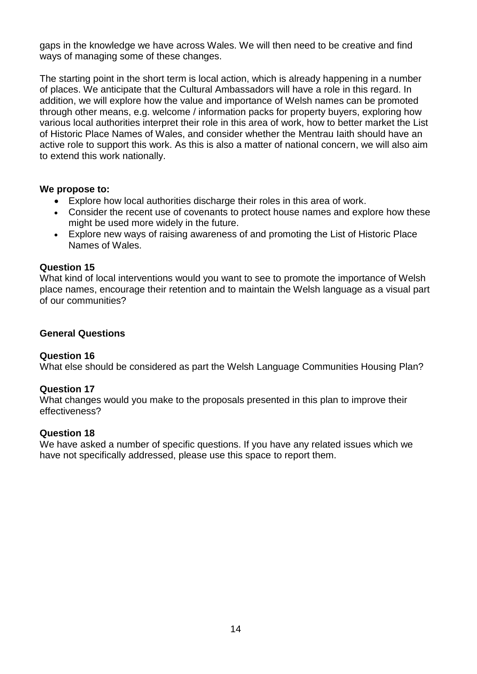gaps in the knowledge we have across Wales. We will then need to be creative and find ways of managing some of these changes.

The starting point in the short term is local action, which is already happening in a number of places. We anticipate that the Cultural Ambassadors will have a role in this regard. In addition, we will explore how the value and importance of Welsh names can be promoted through other means, e.g. welcome / information packs for property buyers, exploring how various local authorities interpret their role in this area of work, how to better market the List of Historic Place Names of Wales, and consider whether the Mentrau Iaith should have an active role to support this work. As this is also a matter of national concern, we will also aim to extend this work nationally.

#### **We propose to:**

- Explore how local authorities discharge their roles in this area of work.
- Consider the recent use of covenants to protect house names and explore how these might be used more widely in the future.
- Explore new ways of raising awareness of and promoting the List of Historic Place Names of Wales.

## **Question 15**

What kind of local interventions would you want to see to promote the importance of Welsh place names, encourage their retention and to maintain the Welsh language as a visual part of our communities?

# **General Questions**

#### **Question 16**

What else should be considered as part the Welsh Language Communities Housing Plan?

# **Question 17**

What changes would you make to the proposals presented in this plan to improve their effectiveness?

#### **Question 18**

We have asked a number of specific questions. If you have any related issues which we have not specifically addressed, please use this space to report them.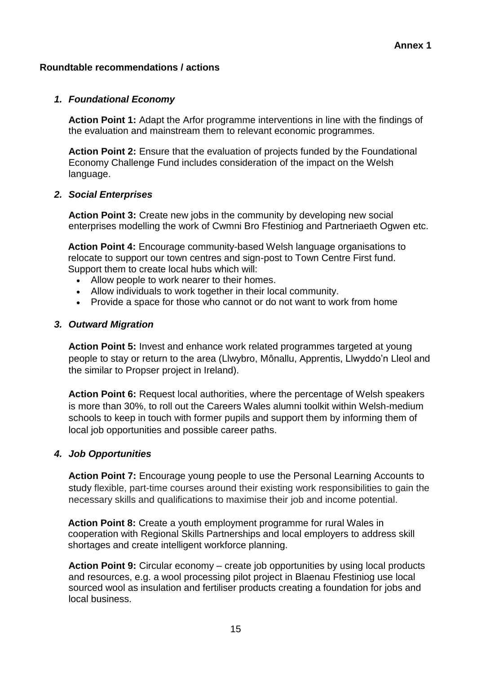## **Roundtable recommendations / actions**

## *1. Foundational Economy*

**Action Point 1:** Adapt the Arfor programme interventions in line with the findings of the evaluation and mainstream them to relevant economic programmes.

**Action Point 2:** Ensure that the evaluation of projects funded by the Foundational Economy Challenge Fund includes consideration of the impact on the Welsh language.

## *2. Social Enterprises*

**Action Point 3:** Create new jobs in the community by developing new social enterprises modelling the work of Cwmni Bro Ffestiniog and Partneriaeth Ogwen etc.

**Action Point 4:** Encourage community-based Welsh language organisations to relocate to support our town centres and sign-post to Town Centre First fund. Support them to create local hubs which will:

- Allow people to work nearer to their homes.
- Allow individuals to work together in their local community.
- Provide a space for those who cannot or do not want to work from home

## *3. Outward Migration*

**Action Point 5:** Invest and enhance work related programmes targeted at young people to stay or return to the area (Llwybro, Mônallu, Apprentis, Llwyddo'n Lleol and the similar to Propser project in Ireland).

**Action Point 6:** Request local authorities, where the percentage of Welsh speakers is more than 30%, to roll out the Careers Wales alumni toolkit within Welsh-medium schools to keep in touch with former pupils and support them by informing them of local job opportunities and possible career paths.

# *4. Job Opportunities*

**Action Point 7:** Encourage young people to use the Personal Learning Accounts to study flexible, part-time courses around their existing work responsibilities to gain the necessary skills and qualifications to maximise their job and income potential.

**Action Point 8:** Create a youth employment programme for rural Wales in cooperation with Regional Skills Partnerships and local employers to address skill shortages and create intelligent workforce planning.

**Action Point 9:** Circular economy – create job opportunities by using local products and resources, e.g. a wool processing pilot project in Blaenau Ffestiniog use local sourced wool as insulation and fertiliser products creating a foundation for jobs and local business.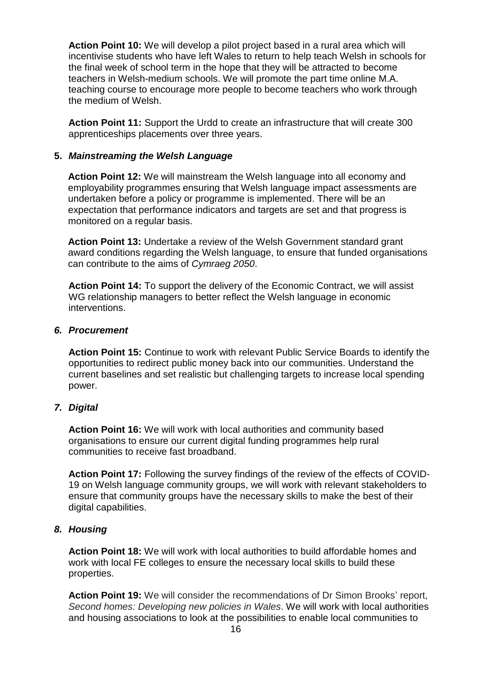**Action Point 10:** We will develop a pilot project based in a rural area which will incentivise students who have left Wales to return to help teach Welsh in schools for the final week of school term in the hope that they will be attracted to become teachers in Welsh-medium schools. We will promote the part time online M.A. teaching course to encourage more people to become teachers who work through the medium of Welsh.

**Action Point 11:** Support the Urdd to create an infrastructure that will create 300 apprenticeships placements over three years.

## **5.** *Mainstreaming the Welsh Language*

**Action Point 12:** We will mainstream the Welsh language into all economy and employability programmes ensuring that Welsh language impact assessments are undertaken before a policy or programme is implemented. There will be an expectation that performance indicators and targets are set and that progress is monitored on a regular basis.

**Action Point 13:** Undertake a review of the Welsh Government standard grant award conditions regarding the Welsh language, to ensure that funded organisations can contribute to the aims of *Cymraeg 2050*.

**Action Point 14:** To support the delivery of the Economic Contract, we will assist WG relationship managers to better reflect the Welsh language in economic interventions.

#### *6. Procurement*

**Action Point 15:** Continue to work with relevant Public Service Boards to identify the opportunities to redirect public money back into our communities. Understand the current baselines and set realistic but challenging targets to increase local spending power.

#### *7. Digital*

**Action Point 16:** We will work with local authorities and community based organisations to ensure our current digital funding programmes help rural communities to receive fast broadband.

**Action Point 17:** Following the survey findings of the review of the effects of COVID-19 on Welsh language community groups, we will work with relevant stakeholders to ensure that community groups have the necessary skills to make the best of their digital capabilities.

#### *8. Housing*

**Action Point 18:** We will work with local authorities to build affordable homes and work with local FE colleges to ensure the necessary local skills to build these properties.

**Action Point 19:** We will consider the recommendations of Dr Simon Brooks' report, *Second homes: Developing new policies in Wales*. We will work with local authorities and housing associations to look at the possibilities to enable local communities to